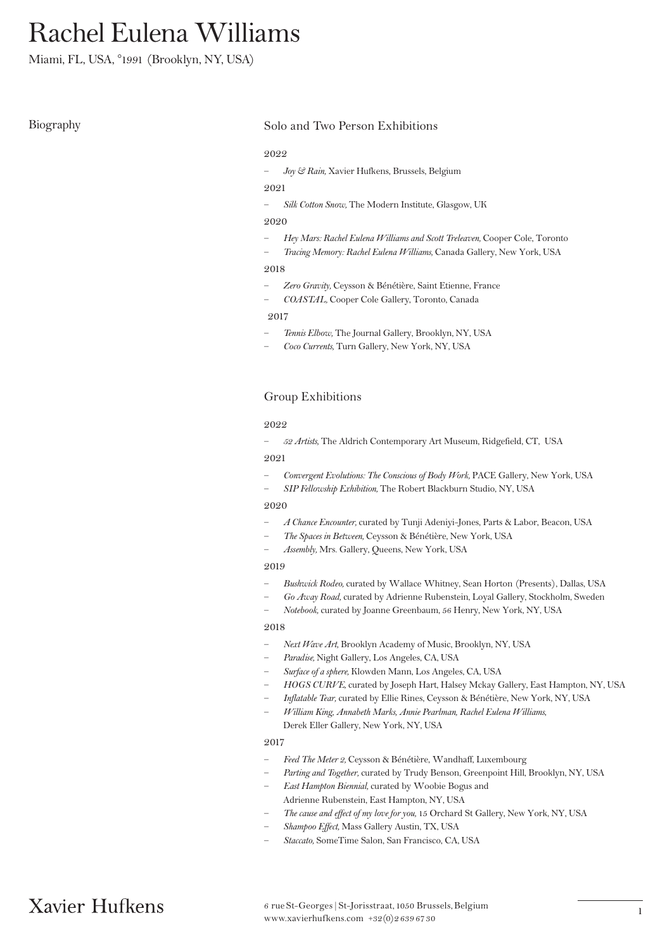# Rachel Eulena Williams

Miami, FL, USA, °1991 (Brooklyn, NY, USA)

# Biography Solo and Two Person Exhibitions

#### 2022

— *Joy & Rain,* Xavier Hufkens, Brussels, Belgium

# 2021

— *Silk Cotton Snow,* The Modern Institute, Glasgow, UK

### 2020

- *Hey Mars: Rachel Eulena Williams and Scott Treleaven,* Cooper Cole, Toronto
- *Tracing Memory: Rachel Eulena Williams,* Canada Gallery, New York, USA

### 2018

- *Zero Gravity,* Ceysson & Bénétière, Saint Etienne, France
- *COASTAL,* Cooper Cole Gallery, Toronto, Canada

### 2017

- *Tennis Elbow,* The Journal Gallery, Brooklyn, NY, USA
- *Coco Currents,* Turn Gallery, New York, NY, USA

# Group Exhibitions

### 2022

— *52 Artists,* The Aldrich Contemporary Art Museum, Ridgefield, CT, USA

### 2021

- *Convergent Evolutions: The Conscious of Body Work,* PACE Gallery, New York, USA
- *SIP Fellowship Exhibition,* The Robert Blackburn Studio, NY, USA

### 2020

- *A Chance Encounter,* curated by Tunji Adeniyi-Jones, Parts & Labor, Beacon, USA
- *The Spaces in Between,* Ceysson & Bénétière, New York, USA
- *Assembly,* Mrs. Gallery, Queens, New York, USA

# 2019

- *Bushwick Rodeo,* curated by Wallace Whitney, Sean Horton (Presents), Dallas, USA
- *Go Away Road,* curated by Adrienne Rubenstein, Loyal Gallery, Stockholm, Sweden
- *Notebook,* curated by Joanne Greenbaum, 56 Henry, New York, NY, USA

### 2018

- *Next Wave Art,* Brooklyn Academy of Music, Brooklyn, NY, USA
- *Paradise,* Night Gallery, Los Angeles, CA, USA
- *Surface of a sphere,* Klowden Mann, Los Angeles, CA, USA
- *HOGS CURVE,* curated by Joseph Hart, Halsey Mckay Gallery, East Hampton, NY, USA
- *Inflatable Tear,* curated by Ellie Rines, Ceysson & Bénétière, New York, NY, USA
- *William King, Annabeth Marks, Annie Pearlman, Rachel Eulena Williams*, Derek Eller Gallery, New York, NY, USA

### 2017

- *Feed The Meter 2,* Ceysson & Bénétière, Wandhaff, Luxembourg
- *Parting and Together,* curated by Trudy Benson, Greenpoint Hill, Brooklyn, NY, USA
- *East Hampton Biennial,* curated by Woobie Bogus and Adrienne Rubenstein, East Hampton, NY, USA
- *The cause and effect of my love for you,* 15 Orchard St Gallery, New York, NY, USA
- *Shampoo Effect,* Mass Gallery Austin, TX, USA
- *Staccato,* SomeTime Salon, San Francisco, CA, USA